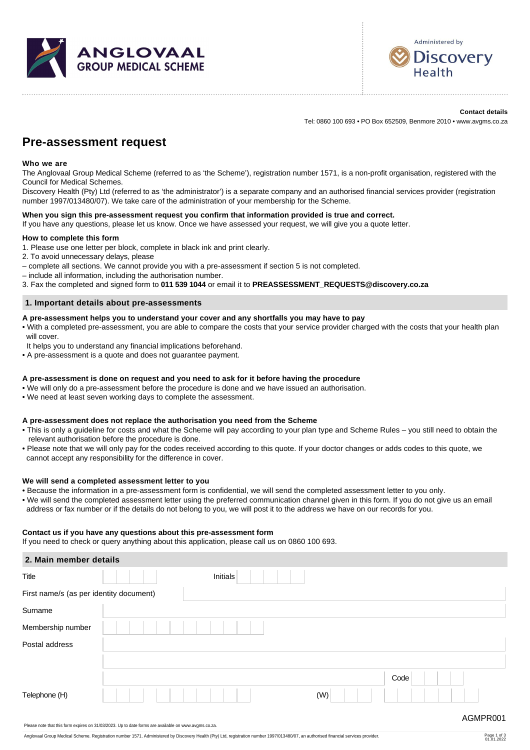



# **Contact details**

Tel: 0860 100 693 • PO Box 652509, Benmore 2010 • www.avgms.co.za

# **Pre-assessment request**

# **Who we are**

The Anglovaal Group Medical Scheme (referred to as 'the Scheme'), registration number 1571, is a non-profit organisation, registered with the Council for Medical Schemes.

Discovery Health (Pty) Ltd (referred to as 'the administrator') is a separate company and an authorised financial services provider (registration number 1997/013480/07). We take care of the administration of your membership for the Scheme.

# **When you sign this pre-assessment request you confirm that information provided is true and correct.**

If you have any questions, please let us know. Once we have assessed your request, we will give you a quote letter.

# **How to complete this form**

- 1. Please use one letter per block, complete in black ink and print clearly.
- 2. To avoid unnecessary delays, please
- complete all sections. We cannot provide you with a pre-assessment if section 5 is not completed.
- include all information, including the authorisation number.

3. Fax the completed and signed form to **011 539 1044** or email it to **PREASSESSMENT\_REQUESTS@discovery.co.za**

# **1. Important details about pre-assessments**

# **A pre-assessment helps you to understand your cover and any shortfalls you may have to pay**

- With a completed pre-assessment, you are able to compare the costs that your service provider charged with the costs that your health plan will cover.
- It helps you to understand any financial implications beforehand.
- A pre-assessment is a quote and does not guarantee payment.

# **A pre-assessment is done on request and you need to ask for it before having the procedure**

- We will only do a pre-assessment before the procedure is done and we have issued an authorisation.
- We need at least seven working days to complete the assessment.

# **A pre-assessment does not replace the authorisation you need from the Scheme**

- This is only a guideline for costs and what the Scheme will pay according to your plan type and Scheme Rules you still need to obtain the relevant authorisation before the procedure is done.
- Please note that we will only pay for the codes received according to this quote. If your doctor changes or adds codes to this quote, we cannot accept any responsibility for the difference in cover.

# **We will send a completed assessment letter to you**

- Because the information in a pre-assessment form is confidential, we will send the completed assessment letter to you only.
- We will send the completed assessment letter using the preferred communication channel given in this form. If you do not give us an email address or fax number or if the details do not belong to you, we will post it to the address we have on our records for you.

# **Contact us if you have any questions about this pre-assessment form**

If you need to check or query anything about this application, please call us on 0860 100 693.

| 2. Main member details                  |          |          |
|-----------------------------------------|----------|----------|
| Title                                   | Initials |          |
| First name/s (as per identity document) |          |          |
| Surname                                 |          |          |
| Membership number                       |          |          |
| Postal address                          |          |          |
|                                         |          |          |
|                                         |          | Code     |
| Telephone (H)                           |          | (W)      |
|                                         |          | AGMPR001 |

Page 1 of 3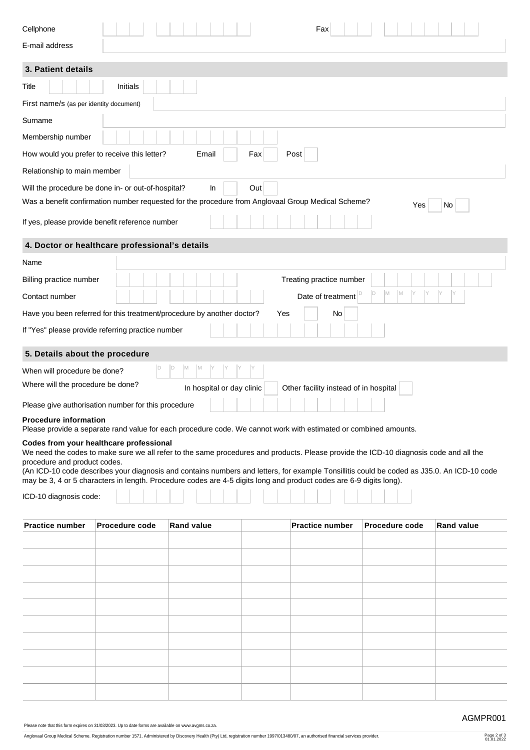| E-mail address                                                                                                                                                                                                                                                                                                                                                                                                                                                                       |  |  |  |  |  |  |  |  |  |  |  |  |
|--------------------------------------------------------------------------------------------------------------------------------------------------------------------------------------------------------------------------------------------------------------------------------------------------------------------------------------------------------------------------------------------------------------------------------------------------------------------------------------|--|--|--|--|--|--|--|--|--|--|--|--|
| 3. Patient details                                                                                                                                                                                                                                                                                                                                                                                                                                                                   |  |  |  |  |  |  |  |  |  |  |  |  |
| Initials<br>Title                                                                                                                                                                                                                                                                                                                                                                                                                                                                    |  |  |  |  |  |  |  |  |  |  |  |  |
| First name/s (as per identity document)                                                                                                                                                                                                                                                                                                                                                                                                                                              |  |  |  |  |  |  |  |  |  |  |  |  |
| Surname                                                                                                                                                                                                                                                                                                                                                                                                                                                                              |  |  |  |  |  |  |  |  |  |  |  |  |
| Membership number                                                                                                                                                                                                                                                                                                                                                                                                                                                                    |  |  |  |  |  |  |  |  |  |  |  |  |
| How would you prefer to receive this letter?<br>Email<br>Fax<br>Post                                                                                                                                                                                                                                                                                                                                                                                                                 |  |  |  |  |  |  |  |  |  |  |  |  |
| Relationship to main member                                                                                                                                                                                                                                                                                                                                                                                                                                                          |  |  |  |  |  |  |  |  |  |  |  |  |
| Will the procedure be done in- or out-of-hospital?<br>In<br>Out                                                                                                                                                                                                                                                                                                                                                                                                                      |  |  |  |  |  |  |  |  |  |  |  |  |
| Was a benefit confirmation number requested for the procedure from Anglovaal Group Medical Scheme?<br>No<br>Yes                                                                                                                                                                                                                                                                                                                                                                      |  |  |  |  |  |  |  |  |  |  |  |  |
| If yes, please provide benefit reference number                                                                                                                                                                                                                                                                                                                                                                                                                                      |  |  |  |  |  |  |  |  |  |  |  |  |
| 4. Doctor or healthcare professional's details                                                                                                                                                                                                                                                                                                                                                                                                                                       |  |  |  |  |  |  |  |  |  |  |  |  |
| Name                                                                                                                                                                                                                                                                                                                                                                                                                                                                                 |  |  |  |  |  |  |  |  |  |  |  |  |
| Billing practice number<br>Treating practice number                                                                                                                                                                                                                                                                                                                                                                                                                                  |  |  |  |  |  |  |  |  |  |  |  |  |
| M<br>1M<br>Date of treatment<br>Contact number                                                                                                                                                                                                                                                                                                                                                                                                                                       |  |  |  |  |  |  |  |  |  |  |  |  |
| Have you been referred for this treatment/procedure by another doctor?<br>Yes<br>No                                                                                                                                                                                                                                                                                                                                                                                                  |  |  |  |  |  |  |  |  |  |  |  |  |
| If "Yes" please provide referring practice number                                                                                                                                                                                                                                                                                                                                                                                                                                    |  |  |  |  |  |  |  |  |  |  |  |  |
| 5. Details about the procedure                                                                                                                                                                                                                                                                                                                                                                                                                                                       |  |  |  |  |  |  |  |  |  |  |  |  |
| M<br>ID<br>IМ<br>When will procedure be done?                                                                                                                                                                                                                                                                                                                                                                                                                                        |  |  |  |  |  |  |  |  |  |  |  |  |
| Where will the procedure be done?<br>In hospital or day clinic<br>Other facility instead of in hospital                                                                                                                                                                                                                                                                                                                                                                              |  |  |  |  |  |  |  |  |  |  |  |  |
| Please give authorisation number for this procedure                                                                                                                                                                                                                                                                                                                                                                                                                                  |  |  |  |  |  |  |  |  |  |  |  |  |
| <b>Procedure information</b><br>Please provide a separate rand value for each procedure code. We cannot work with estimated or combined amounts.                                                                                                                                                                                                                                                                                                                                     |  |  |  |  |  |  |  |  |  |  |  |  |
| Codes from your healthcare professional<br>We need the codes to make sure we all refer to the same procedures and products. Please provide the ICD-10 diagnosis code and all the<br>procedure and product codes.<br>(An ICD-10 code describes your diagnosis and contains numbers and letters, for example Tonsillitis could be coded as J35.0. An ICD-10 code<br>may be 3, 4 or 5 characters in length. Procedure codes are 4-5 digits long and product codes are 6-9 digits long). |  |  |  |  |  |  |  |  |  |  |  |  |
|                                                                                                                                                                                                                                                                                                                                                                                                                                                                                      |  |  |  |  |  |  |  |  |  |  |  |  |
| ICD-10 diagnosis code:                                                                                                                                                                                                                                                                                                                                                                                                                                                               |  |  |  |  |  |  |  |  |  |  |  |  |
| <b>Practice number</b><br><b>Practice number</b><br><b>Procedure code</b><br><b>Rand value</b><br>Procedure code<br><b>Rand value</b>                                                                                                                                                                                                                                                                                                                                                |  |  |  |  |  |  |  |  |  |  |  |  |
|                                                                                                                                                                                                                                                                                                                                                                                                                                                                                      |  |  |  |  |  |  |  |  |  |  |  |  |
|                                                                                                                                                                                                                                                                                                                                                                                                                                                                                      |  |  |  |  |  |  |  |  |  |  |  |  |
|                                                                                                                                                                                                                                                                                                                                                                                                                                                                                      |  |  |  |  |  |  |  |  |  |  |  |  |
|                                                                                                                                                                                                                                                                                                                                                                                                                                                                                      |  |  |  |  |  |  |  |  |  |  |  |  |
|                                                                                                                                                                                                                                                                                                                                                                                                                                                                                      |  |  |  |  |  |  |  |  |  |  |  |  |
|                                                                                                                                                                                                                                                                                                                                                                                                                                                                                      |  |  |  |  |  |  |  |  |  |  |  |  |
|                                                                                                                                                                                                                                                                                                                                                                                                                                                                                      |  |  |  |  |  |  |  |  |  |  |  |  |
|                                                                                                                                                                                                                                                                                                                                                                                                                                                                                      |  |  |  |  |  |  |  |  |  |  |  |  |
|                                                                                                                                                                                                                                                                                                                                                                                                                                                                                      |  |  |  |  |  |  |  |  |  |  |  |  |